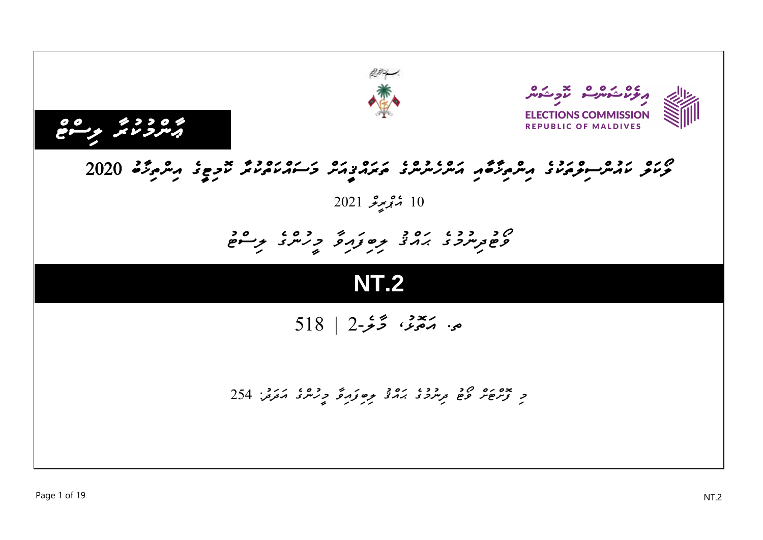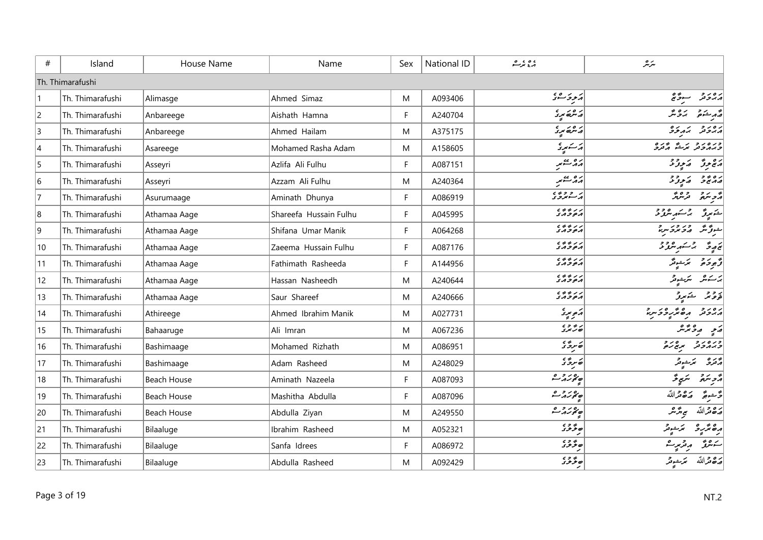| #              | Island           | House Name         | Name                   | Sex         | National ID | ، ه ، ره<br>مر، مر                                                                 | ىئرىتر                                       |
|----------------|------------------|--------------------|------------------------|-------------|-------------|------------------------------------------------------------------------------------|----------------------------------------------|
|                | Th. Thimarafushi |                    |                        |             |             |                                                                                    |                                              |
|                | Th. Thimarafushi | Alimasge           | Ahmed Simaz            | M           | A093406     | لأعرفه سفوكا                                                                       | رەرد سۆھ                                     |
| $\overline{c}$ | Th. Thimarafushi | Anbareege          | Aishath Hamna          | F           | A240704     | پر ټر <sub>چه مور</sub> په                                                         | أقهر يشكون المروانش                          |
| $\overline{3}$ | Th. Thimarafushi | Anbareege          | Ahmed Hailam           | M           | A375175     | ر ەر<br>ەكىرى                                                                      | أرور ويهدى                                   |
| $\overline{4}$ | Th. Thimarafushi | Asareege           | Mohamed Rasha Adam     | M           | A158605     | لەسكە بېرى                                                                         | وره رو برره وره<br>دبرارولا برشه ارادر       |
| 5              | Th. Thimarafushi | Asseyri            | Azlifa Ali Fulhu       | F           | A087151     | رە ي <sub>ە</sub>                                                                  | ړ چې په کامونو د                             |
| $\sqrt{6}$     | Th. Thimarafushi | Asseyri            | Azzam Ali Fulhu        | ${\sf M}$   | A240364     | لئەۋىئىمر                                                                          | $5352 - 5502$                                |
| $\overline{7}$ | Th. Thimarafushi | Asurumaage         | Aminath Dhunya         | $\mathsf F$ | A086919     | ر د د د ،                                                                          | أأدو سمير والمحمد                            |
| 8              | Th. Thimarafushi | Athamaa Aage       | Shareefa Hussain Fulhu | F           | A045995     | ر ر د د د ،<br>پره <del>و</del> پر د                                               | شىرۇ برىشرىترو                               |
| 9              | Th. Thimarafushi | Athamaa Aage       | Shifana Umar Manik     | F           | A064268     | ر ر د د د ،<br>پره <del>و</del> پر د                                               | أشوقر شر ورورية                              |
| 10             | Th. Thimarafushi | Athamaa Aage       | Zaeema Hussain Fulhu   | F           | A087176     | ر ر د د د<br>مهمو د د                                                              | انج په څخه شور مورند د                       |
| 11             | Th. Thimarafushi | Athamaa Aage       | Fathimath Rasheeda     | F           | A144956     | e s s s s<br>En 3 s n                                                              | قَهْ وَدَهْ مَرْسُومَّهُ                     |
| 12             | Th. Thimarafushi | Athamaa Aage       | Hassan Nasheedh        | M           | A240644     | $\begin{array}{c} 2 \times 2 \times 7 \\ 3 \times 3 \times 3 \times 3 \end{array}$ | يرسكانكل    سكر مش <sub>خص</sub> ص           |
| 13             | Th. Thimarafushi | Athamaa Aage       | Saur Shareef           | ${\sf M}$   | A240666     | ر ر د د د<br>پره <del>و</del> پر د                                                 | ر و و<br>  پی هر سنگین می توانس              |
| 14             | Th. Thimarafushi | Athireege          | Ahmed Ibrahim Manik    | ${\sf M}$   | A027731     | لهزموسونه                                                                          | גפנג גם הקבבתי                               |
| 15             | Th. Thimarafushi | Bahaaruge          | Ali Imran              | ${\sf M}$   | A067236     | ر پر و ،<br>ن <i>خ</i> مرد                                                         | أوسم ودعمه                                   |
| 16             | Th. Thimarafushi | Bashimaage         | Mohamed Rizhath        | M           | A086951     | ئەبرىرى<br>  خابرىرى                                                               | وره رو در ورد<br>د بر در مربع سر             |
| 17             | Th. Thimarafushi | Bashimaage         | Adam Rasheed           | M           | A248029     | <br> خامرچری                                                                       | أركوره المرشوقر                              |
| 18             | Th. Thimarafushi | <b>Beach House</b> | Aminath Nazeela        | F           | A087093     | پە ئەر ئە                                                                          | أزويني تنبيؤ                                 |
| 19             | Th. Thimarafushi | <b>Beach House</b> | Mashitha Abdulla       | F           | A087096     | په تر بر <sup>م</sup>                                                              | تحشوتج وكانقا الله                           |
| 20             | Th. Thimarafushi | <b>Beach House</b> | Abdulla Ziyan          | M           | A249550     | پەيمەئەر م                                                                         | <mark>برء ت</mark> رالله ب <sub>ح</sub> رمثر |
| 21             | Th. Thimarafushi | Bilaaluge          | Ibrahim Rasheed        | M           | A052321     | ە ئۇ تو ؟<br>مەمۇمى                                                                | رەنزىر ترىنونر                               |
| 22             | Th. Thimarafushi | Bilaaluge          | Sanfa Idrees           | F           | A086972     | پوځو <sub>ي</sub>                                                                  | سەرىقە                                       |
| 23             | Th. Thimarafushi | Bilaaluge          | Abdulla Rasheed        | M           | A092429     | اھوڅوړ                                                                             | رەت <sub>ىر</sub> اللە <b>ئ</b> رىشەتر       |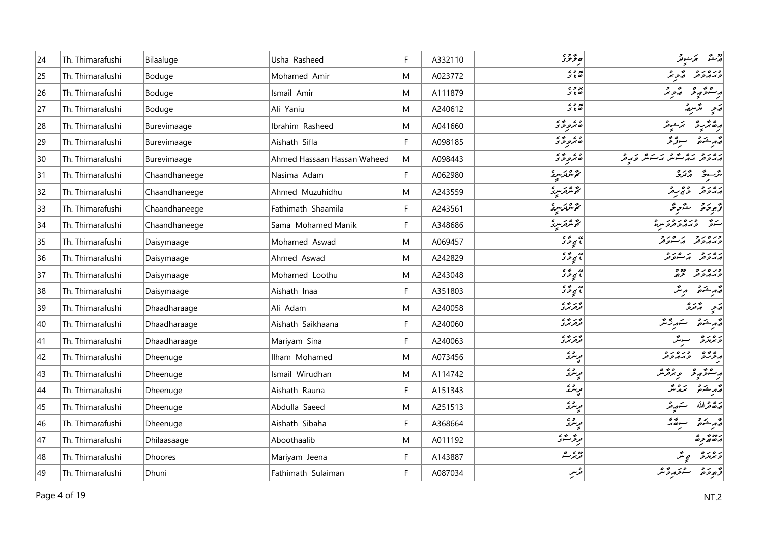| 24 | Th. Thimarafushi | Bilaaluge      | Usha Rasheed                | F  | A332110 | ه ۶۶ <i>۶</i><br>ج <del>گر</del> گ  |                                                             |
|----|------------------|----------------|-----------------------------|----|---------|-------------------------------------|-------------------------------------------------------------|
| 25 | Th. Thimarafushi | Boduge         | Mohamed Amir                | M  | A023772 | پر و م<br>ن و ک                     | כנסנב בבל                                                   |
| 26 | Th. Thimarafushi | Boduge         | Ismail Amir                 | M  | A111879 | پر و م<br>ن و ک                     | وحويو مجري                                                  |
| 27 | Th. Thimarafushi | Boduge         | Ali Yaniu                   | M  | A240612 | پر و م<br>ن و ک                     | وَمِعِ الرَّسِمَةُ                                          |
| 28 | Th. Thimarafushi | Burevimaage    | Ibrahim Rasheed             | M  | A041660 | د ،<br>صغر و د د                    | 5, 2, 8, 0,<br>ىمە <sup>رىشە</sup> قىر                      |
| 29 | Th. Thimarafushi | Burevimaage    | Aishath Sifla               | F  | A098185 | و ۽ دي.<br>صغر و دي                 | ر<br><i>مەر</i> شىمى سۆرى                                   |
| 30 | Th. Thimarafushi | Burevimaage    | Ahmed Hassaan Hassan Waheed | M  | A098443 | د ،<br>صغر و د د                    | גם גב גם שיכוב גבוה כל הבית היותר.<br>הגבות ההבית הבית פהית |
| 31 | Th. Thimarafushi | Chaandhaneege  | Nasima Adam                 | F  | A062980 | ى<br>ئۇسرىرىي <sub>رى</sub>         | شريدة الممردة                                               |
| 32 | Th. Thimarafushi | Chaandhaneege  | Ahmed Muzuhidhu             | M  | A243559 | ىچە ئىرتى <i>ر س</i> وچ             | גם ג'ב בסגב<br>הגבע בשקע                                    |
| 33 | Th. Thimarafushi | Chaandhaneege  | Fathimath Shaamila          | F  | A243561 | ىچە ئىرتى <i>ر س</i> وچ             | توجوجو الشوقر                                               |
| 34 | Th. Thimarafushi | Chaandhaneege  | Sama Mohamed Manik          | F. | A348686 | ىچە ئىرتى <i>ر س</i> و <sup>ي</sup> |                                                             |
| 35 | Th. Thimarafushi | Daisymaage     | Mohamed Aswad               | M  | A069457 | ں<br>لاسچ تر <sub>ک</sub>           | ورەرو بەرەرو<br>جەيروتى بەسوتى                              |
| 36 | Th. Thimarafushi | Daisymaage     | Ahmed Aswad                 | M  | A242829 | ر<br>پانگ پی پی تر <sub>ک</sub>     | ره رو در درو<br>پرېژنو پر شون                               |
| 37 | Th. Thimarafushi | Daisymaage     | Mohamed Loothu              | M  | A243048 | يە مەدى<br>ئامېرىرى                 | و ره رو وو و<br><i>و پر در دو</i> د                         |
| 38 | Th. Thimarafushi | Daisymaage     | Aishath Inaa                | F  | A351803 | پی پی تر <sup>2</sup>               | و ديگر د شگر<br>مرد شوه د سگر                               |
| 39 | Th. Thimarafushi | Dhaadharaage   | Ali Adam                    | M  | A240058 | ی ر د د<br>ترتربر <u>ی</u>          | أيمني أيروه                                                 |
| 40 | Th. Thimarafushi | Dhaadharaage   | Aishath Saikhaana           | F  | A240060 | ی ر د د<br>ترتربر <u>ی</u>          | ە ئەس ئىق سىكىرىشىگە<br>مەرسىسى ئىس ئىس                     |
| 41 | Th. Thimarafushi | Dhaadharaage   | Mariyam Sina                | F. | A240063 | ی ر د د<br>ترتربری                  | سىبىتىر<br>ر ہ ر ہ<br>تر <del>ب</del> ر بر                  |
| 42 | Th. Thimarafushi | Dheenuge       | Ilham Mohamed               | M  | A073456 | ورتر ۽<br>س                         | ور ور د<br>د برگرد تر<br>ەر ئەرە                            |
| 43 | Th. Thimarafushi | Dheenuge       | Ismail Wirudhan             | M  | A114742 | ورتزی<br>ئی                         | وحوصفي ويرتزعه                                              |
| 44 | Th. Thimarafushi | Dheenuge       | Aishath Rauna               | F. | A151343 | و ده<br>پېښک                        | د در در در در در در سر<br>مدر شوی مدرسر                     |
| 45 | Th. Thimarafushi | Dheenuge       | Abdulla Saeed               | M  | A251513 | ور پر دي<br>سي                      | مَصْعَراللَّه<br>سە بەر قر                                  |
| 46 | Th. Thimarafushi | Dheenuge       | Aishath Sibaha              | F  | A368664 | ور د ه<br>وسر                       | سقة<br>و مر شوه.<br>م                                       |
| 47 | Th. Thimarafushi | Dhilaasaage    | Aboothaalib                 | M  | A011192 | ەرگۇرىچى                            | גחבים<br>גםתוכם                                             |
| 48 | Th. Thimarafushi | <b>Dhoores</b> | Mariyam Jeena               | F  | A143887 | دد ،<br>تربر گ                      | ر ه ر ه<br><del>ر</del> بربر و<br>مچ میٹر<br>—              |
| 49 | Th. Thimarafushi | Dhuni          | Fathimath Sulaiman          | F. | A087034 | قرسر                                | 3233 323                                                    |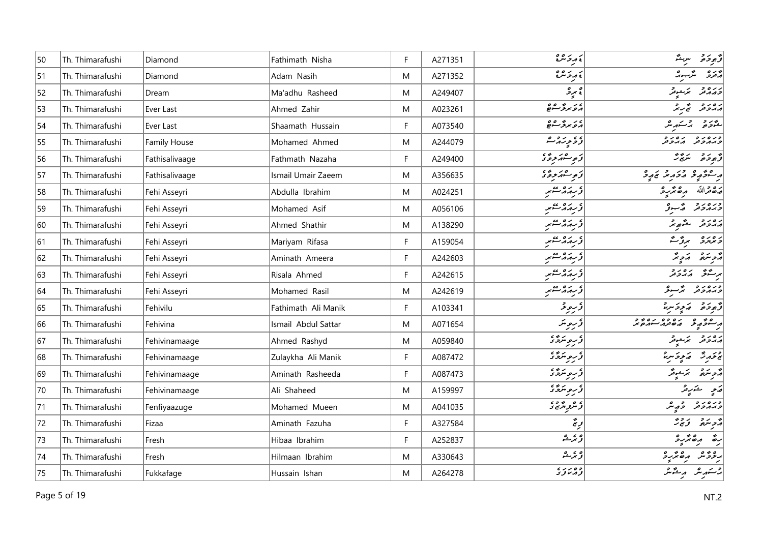| 50 | Th. Thimarafushi | Diamond        | Fathimath Nisha     | F         | A271351 | $rac{1}{2}$                            | و دو سرچهٔ<br>د کاره                                    |
|----|------------------|----------------|---------------------|-----------|---------|----------------------------------------|---------------------------------------------------------|
| 51 | Th. Thimarafushi | Diamond        | Adam Nasih          | M         | A271352 | 22,7.2                                 | پە بەرە<br>مەنىرى                                       |
| 52 | Th. Thimarafushi | Dream          | Ma'adhu Rasheed     | ${\sf M}$ | A249407 | ۽ سرچ                                  | ر ره د<br>تر <i>د</i> د تر<br>بمرشوقر                   |
| 53 | Th. Thimarafushi | Ever Last      | Ahmed Zahir         | M         | A023261 | ى بە بەرگەر ھەھ                        | رەر ئەربى                                               |
| 54 | Th. Thimarafushi | Ever Last      | Shaamath Hussain    | F         | A073540 | پر <sub>تر م</sub> حرک مع              | شۇر قىر ئەسكىرىش                                        |
| 55 | Th. Thimarafushi | Family House   | Mohamed Ahmed       | M         | A244079 | ئۇ ئەپرىر ئە                           | כנסגב גםגב<br><mark>כ</mark> גמכ <mark>נג ה</mark> גכנג |
| 56 | Th. Thimarafushi | Fathisalivaage | Fathmath Nazaha     | F         | A249400 | از <sub>ەم</sub> سىھەم ئەمى            | وٌ و دَ دَ " سَرِيحَ رَ                                 |
| 57 | Th. Thimarafushi | Fathisalivaage | Ismail Umair Zaeem  | ${\sf M}$ | A356635 | ئەموسىمە ئەمۇ                          | وحوقي وحمدته تمده                                       |
| 58 | Th. Thimarafushi | Fehi Asseyri   | Abdulla Ibrahim     | ${\sf M}$ | A024251 | <mark>ئ</mark> ۇ بەر ھەمئىي<br>سىر مەم | ەھىراللە<br>دە ئەرد                                     |
| 59 | Th. Thimarafushi | Fehi Asseyri   | Mohamed Asif        | ${\sf M}$ | A056106 | ې په ده مه موسم <i>ب</i> ر             | ورەر د ئەبدۇ                                            |
| 60 | Th. Thimarafushi | Fehi Asseyri   | Ahmed Shathir       | ${\sf M}$ | A138290 | ۇ بەنە ئەھىيە                          | رەرد شەر                                                |
| 61 | Th. Thimarafushi | Fehi Asseyri   | Mariyam Rifasa      | F         | A159054 | ى بەر دەسىي<br>سىر ئىسىسى              | ىرۇشە<br>ر ه ر ه<br><del>ر</del> بربرگ                  |
| 62 | Th. Thimarafushi | Fehi Asseyri   | Aminath Ameera      | F         | A242603 | ې په ۵ ته مي<br>نو په د مشم            | ړې پر<br>أثرجه تنبعى                                    |
| 63 | Th. Thimarafushi | Fehi Asseyri   | Risala Ahmed        | F         | A242615 | ې په پره مه <sup>مه</sup> م            | برستمو برەرد                                            |
| 64 | Th. Thimarafushi | Fehi Asseyri   | Mohamed Rasil       | ${\sf M}$ | A242619 | ۇ بەنە ھەتىمبر                         | ورەرو پۇسۇ                                              |
| 65 | Th. Thimarafushi | Fehivilu       | Fathimath Ali Manik | F         | A103341 | ۇروڭر                                  | وحوذة الموذارة                                          |
| 66 | Th. Thimarafushi | Fehivina       | Ismail Abdul Sattar | ${\sf M}$ | A071654 | ۇرەبىر                                 | ת פיצי פי הסיפס הסיביב                                  |
| 67 | Th. Thimarafushi | Fehivinamaage  | Ahmed Rashyd        | M         | A059840 | ۇرەبىر ئەم                             | رەر تەرىپىدى<br>مەركى تەسىم                             |
| 68 | Th. Thimarafushi | Fehivinamaage  | Zulaykha Ali Manik  | F         | A087472 | ې په په پره <sup>ي</sup>               | ړ په په تر په<br>چ ئۆمە <sup>م</sup> ەً                 |
| 69 | Th. Thimarafushi | Fehivinamaage  | Aminath Rasheeda    | F         | A087473 | ې په په پره <sup>ي</sup>               | مەمەسىم ئىلىنىڭ                                         |
| 70 | Th. Thimarafushi | Fehivinamaage  | Ali Shaheed         | ${\sf M}$ | A159997 | ې په په پره <sup>ي</sup>               | أرشح المستشرية                                          |
| 71 | Th. Thimarafushi | Fenfiyaazuge   | Mohamed Mueen       | ${\sf M}$ | A041035 | ې شو <sub>پر پېړۍ</sub>                | ورەرو وړیږ                                              |
| 72 | Th. Thimarafushi | Fizaa          | Aminath Fazuha      | F         | A327584 | وتج                                    | ړګر سره<br>ۇ ئالىمى                                     |
| 73 | Th. Thimarafushi | Fresh          | Hibaa Ibrahim       | F         | A252837 | ە ب <sub>ى ش</sub> ە                   |                                                         |
| 74 | Th. Thimarafushi | Fresh          | Hilmaan Ibrahim     | M         | A330643 | وبريثه                                 | بەۋۋىتر<br>ە ئەنگەر 2<br>مەھمەر يە                      |
| 75 | Th. Thimarafushi | Fukkafage      | Hussain Ishan       | ${\sf M}$ | A264278 | وه ر ر ،<br>ز پر ر تر د                | ير سەر شەھ بەيدىش                                       |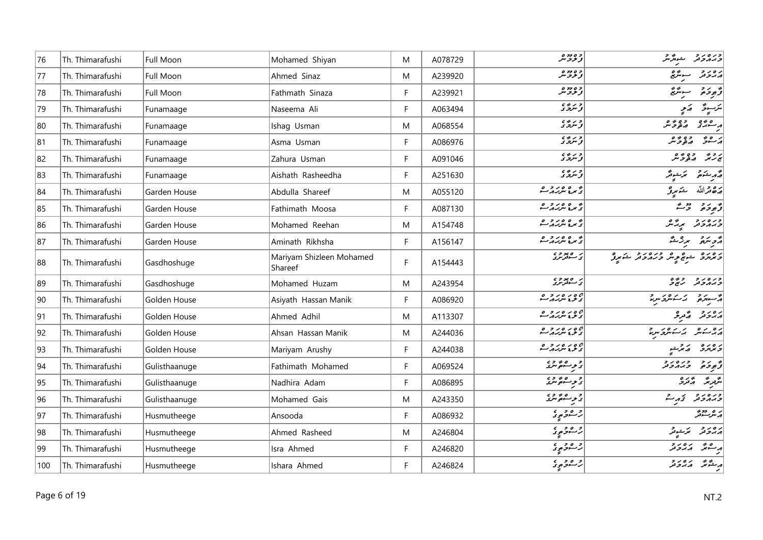| 76           | Th. Thimarafushi | Full Moon     | Mohamed Shiyan                      | M  | A078729 | د ه دد ه<br>نو مرد ش                           | شەرگرىگر<br>و ره ر د<br>تر پر ژنر                         |
|--------------|------------------|---------------|-------------------------------------|----|---------|------------------------------------------------|-----------------------------------------------------------|
| 77           | Th. Thimarafushi | Full Moon     | Ahmed Sinaz                         | M  | A239920 | د ه دد ه<br>تر تر تر                           | سەمىنى<br>پر ژبر ژ                                        |
| 78           | Th. Thimarafushi | Full Moon     | Fathmath Sinaza                     | F. | A239921 | د ه دو ه<br>نو مرد ش                           | سويتي<br>ۇ بور پر                                         |
| 79           | Th. Thimarafushi | Funamaage     | Naseema Ali                         | F  | A063494 | و ر و ،<br>توسرچ د                             | ىئرسىدىخ<br>رځمنې                                         |
| 80           | Th. Thimarafushi | Funamaage     | Ishag Usman                         | M  | A068554 | و ر د د<br>توسرچ د                             | ەر سىرىنى تە<br>چە ئە ھ<br>مەقوقرىتىل                     |
| 81           | Th. Thimarafushi | Funamaage     | Asma Usman                          | F  | A086976 | د بر پر پر<br>توسر <del>ی</del> ر <sub>ک</sub> | ىرقىق<br>چە ئە بەر<br>مەنبى س                             |
| 82           | Th. Thimarafushi | Funamaage     | Zahura Usman                        | F  | A091046 | و پر پر پر<br>توسر <del>ی</del> ر بر           | بروید وه پوهند                                            |
| 83           | Th. Thimarafushi | Funamaage     | Aishath Rasheedha                   | F  | A251630 | د بر پر پر<br>توسر <del>ی</del> ر <sub>ک</sub> | لأرشكم الكرشوند                                           |
| 84           | Th. Thimarafushi | Garden House  | Abdulla Shareef                     | M  | A055120 | پ <sub>چ</sub> په په مرکز مه                   | ەھىراللە<br>ے <i>میرو</i>                                 |
| 85           | Th. Thimarafushi | Garden House  | Fathimath Moosa                     | F  | A087130 | پە رە مەرد مە                                  | قەدە دىم                                                  |
| 86           | Th. Thimarafushi | Garden House  | Mohamed Reehan                      | M  | A154748 | پ <sup>ر</sup> پره عربر <i>جر</i> ه            | ورەرو برگىر                                               |
| 87           | Th. Thimarafushi | Garden House  | Aminath Rikhsha                     | F  | A156147 | ۇ يە ئەرىر ئە                                  | أأترجع برقشة                                              |
| 88           | Th. Thimarafushi | Gasdhoshuge   | Mariyam Shizleen Mohamed<br>Shareef | F. | A154443 | ر ۔ 2 پر و ے<br>کی سسوتوری                     | ر ور و شور ور ور و د شهر و<br>د بر د شور و در د د د شکر و |
| 89           | Th. Thimarafushi | Gasdhoshuge   | Mohamed Huzam                       | M  | A243954 | ر رہ پر و ،<br>کی سسوتوری                      | 222 22012<br>232 232                                      |
| $ 90\rangle$ | Th. Thimarafushi | Golden House  | Asiyath Hassan Manik                | F  | A086920 | ە ە رەر دە<br>ئەنزى <sub>دىك</sub> ر           | ۇسىدۇ ئەسكىرى بىرە                                        |
| 91           | Th. Thimarafushi | Golden House  | Ahmed Adhil                         | M  | A113307 | ە ە ر ەر د مە                                  | برەر ئە ئەرۋ                                              |
| 92           | Th. Thimarafushi | Golden House  | Ahsan Hassan Manik                  | M  | A244036 | ە ە رەر دە<br>ئەمەنە مەركەت                    | روك كالمستشر والمستشر والمستعمل                           |
| 93           | Th. Thimarafushi | Golden House  | Mariyam Arushy                      | F  | A244038 | ە يە يەر دەر<br>ئەمەندىن مەركىسى               |                                                           |
| 94           | Th. Thimarafushi | Gulisthaanuge | Fathimath Mohamed                   | F  | A069524 | و مەھەرى<br>ئە <b>مە</b> ر سىرى                | أوجوحه وبروير                                             |
| 95           | Th. Thimarafushi | Gulisthaanuge | Nadhira Adam                        | F  | A086895 | و مسره شو و ،<br>د نور سره شرو                 | بتزمر شهرة أيترو                                          |
| 96           | Th. Thimarafushi | Gulisthaanuge | Mohamed Gais                        | M  | A243350 | و مسرو ده و د                                  | ورەرو يەر                                                 |
| 97           | Th. Thimarafushi | Husmutheege   | Ansooda                             | F. | A086932 | ر رو و <sub>و ک</sub>                          | پر ه دور                                                  |
| 98           | Th. Thimarafushi | Husmutheege   | Ahmed Rasheed                       | M  | A246804 | ر مەد <sub>ەر ئ</sub>                          | ره رو بر شوتر<br>مدرونر بر شوتر                           |
| 99           | Th. Thimarafushi | Husmutheege   | Isra Ahmed                          | F. | A246820 | ر مەد <sub>ەر ئ</sub>                          | در شوش در در د                                            |
| 100          | Th. Thimarafushi | Husmutheege   | Ishara Ahmed                        | F. | A246824 | <sup>ح</sup> سے ج <sub>و م</sub> ح             | م شگر کرد در د                                            |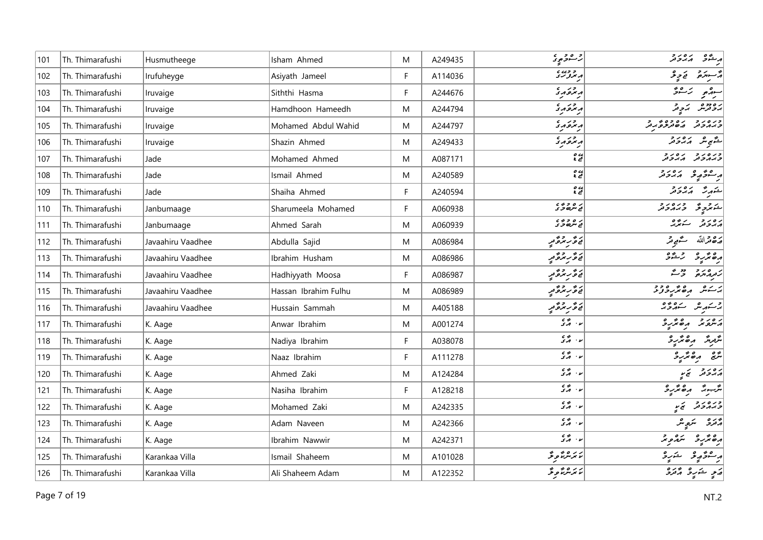| 101 | Th. Thimarafushi | Husmutheege       | Isham Ahmed          | M         | A249435 | ح مەج ھ <sub>و</sub> ى                   | پر ڪري<br>پرور و                                          |
|-----|------------------|-------------------|----------------------|-----------|---------|------------------------------------------|-----------------------------------------------------------|
| 102 | Th. Thimarafushi | Irufuheyge        | Asiyath Jameel       | F         | A114036 | د وون ،<br>د بوتو ر د                    | أأرسله فالمحافية                                          |
| 103 | Th. Thimarafushi | Iruvaige          | Siththi Hasma        | F         | A244676 | د بره در پا<br>د بره در                  | ر ه پی<br>سورصحر                                          |
| 104 | Th. Thimarafushi | Iruvaige          | Hamdhoon Hameedh     | M         | A244794 | وبرء                                     | رەپور بەر<br>بەرتىر بەرتى                                 |
| 105 | Th. Thimarafushi | Iruvaige          | Mohamed Abdul Wahid  | M         | A244797 | و بره در ه                               | وره رو ده وه و و<br><i>و پروو</i> تر برختر <i>و ب</i> رتر |
| 106 | Th. Thimarafushi | Iruvaige          | Shazin Ahmed         | M         | A249433 | وبرءرء                                   | شگېرسر كەبردىر                                            |
| 107 | Th. Thimarafushi | Jade              | Mohamed Ahmed        | M         | A087171 | ي ه<br>فع ځ                              | כנסנכ נסנכ<br>כממכת המכת                                  |
| 108 | Th. Thimarafushi | Jade              | Ismail Ahmed         | ${\sf M}$ | A240589 | ی ہ<br>فع با                             | و عرصي ده دور                                             |
| 109 | Th. Thimarafushi | Jade              | Shaiha Ahmed         | F         | A240594 | ی ہ<br>قع ع                              | $\frac{2707}{2727}$                                       |
| 110 | Th. Thimarafushi | Janbumaage        | Sharumeela Mohamed   | F         | A060938 | ر ه د و و<br>نح سرچ تر د                 | شركرد وره دو                                              |
| 111 | Th. Thimarafushi | Janbumaage        | Ahmed Sarah          | M         | A060939 | ر ه و و »<br>تع سرچ تر د                 | رەرو روە                                                  |
| 112 | Th. Thimarafushi | Javaahiru Vaadhee | Abdulla Sajid        | M         | A086984 | <br>  ئ قرىر ترقى قبير                   | ەھىراللە<br>ستگھ فر                                       |
| 113 | Th. Thimarafushi | Javaahiru Vaadhee | Ibrahim Husham       | M         | A086986 | <br>  ج وَّ رِ بروَّ مِرِ                | ژ شۇ ۋ<br>ەرھ ئ <sup>ۆ</sup> ر ۋ                          |
| 114 | Th. Thimarafushi | Javaahiru Vaadhee | Hadhiyyath Moosa     | F         | A086987 | ئەقرىر قەتر                              | ر مرد دور                                                 |
| 115 | Th. Thimarafushi | Javaahiru Vaadhee | Hassan Ibrahim Fulhu | ${\sf M}$ | A086989 | ئەقەر برقە تېر                           | برسكش مرەغرىرور                                           |
| 116 | Th. Thimarafushi | Javaahiru Vaadhee | Hussain Sammah       | ${\sf M}$ | A405188 | ئەقرىر تەقرىر                            |                                                           |
| 117 | Th. Thimarafushi | K. Aage           | Anwar Ibrahim        | M         | A001274 | $\overset{c}{\mathscr{L}}$ .             | גם גב השתיק                                               |
| 118 | Th. Thimarafushi | K. Aage           | Nadiya Ibrahim       | F         | A038078 | $\overset{c}{\mathscr{I}}$ $\cdot$ $\nu$ | متبرة مقتررة                                              |
| 119 | Th. Thimarafushi | K. Aage           | Naaz Ibrahim         | F         | A111278 | $\overset{c}{\mathscr{L}}$ .             | پره<br>سرچ<br>دەندېرد                                     |
| 120 | Th. Thimarafushi | K. Aage           | Ahmed Zaki           | ${\sf M}$ | A124284 | ىد ئەمىي                                 |                                                           |
| 121 | Th. Thimarafushi | K. Aage           | Nasiha Ibrahim       | F         | A128218 | $\overset{c}{\mathscr{L}}$ .             | برە ئۆر ۋ<br>متزسور                                       |
| 122 | Th. Thimarafushi | K. Aage           | Mohamed Zaki         | ${\sf M}$ | A242335 | $\overset{c}{\mathscr{L}}$ .             | و رە ر د<br>تر پر تر تر<br>ېنې                            |
| 123 | Th. Thimarafushi | K. Aage           | Adam Naveen          | ${\sf M}$ | A242366 | $\overset{c}{\mathscr{L}}$ .             | سكبوبثر<br>په ره<br>د ترو                                 |
| 124 | Th. Thimarafushi | K. Aage           | Ibrahim Nawwir       | ${\sf M}$ | A242371 | ر پر د<br>در آري                         | يتدوير<br>ە ھەترىرى<br>م                                  |
| 125 | Th. Thimarafushi | Karankaa Villa    | Ismail Shaheem       | M         | A101028 | ئەنگەرىگە بەرگە                          | ر عقيدة المحمدة                                           |
| 126 | Th. Thimarafushi | Karankaa Villa    | Ali Shaheem Adam     | ${\sf M}$ | A122352 | ئەنگەرىگە بوڭر                           | پر په شرير و اورد                                         |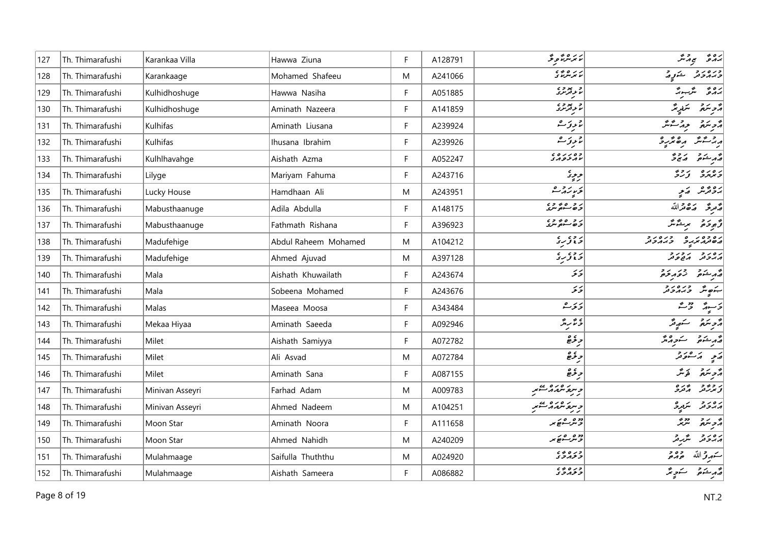| 127 | Th. Thimarafushi | Karankaa Villa  | Hawwa Ziuna          | F. | A128791 | ر<br>ئائىر مىرى <i>ما ج</i> ىر                 | برە ئەستر                                   |
|-----|------------------|-----------------|----------------------|----|---------|------------------------------------------------|---------------------------------------------|
| 128 | Th. Thimarafushi | Karankaage      | Mohamed Shafeeu      | M  | A241066 | ر ر ه و و ،<br>ما مرس د                        | ورەرو شۆپە                                  |
| 129 | Th. Thimarafushi | Kulhidhoshuge   | Hawwa Nasiha         | F. | A051885 | د په ده<br>ما موفرمرد                          | رەپ<br>  برادى<br>ىترىبەرىج                 |
| 130 | Th. Thimarafushi | Kulhidhoshuge   | Aminath Nazeera      | F. | A141859 | د په ده<br>تا نوفرنزد                          | أرمر<br>سَمْدِيَّر                          |
| 131 | Th. Thimarafushi | Kulhifas        | Aminath Liusana      | F  | A239924 | ر<br>سربر میں<br>سر                            | ىر ئەشەشر<br>ۇ ئەسىرە                       |
| 132 | Th. Thimarafushi | Kulhifas        | Ihusana Ibrahim      | F  | A239926 | تۈپۈرگە                                        | ورحش وهغربه                                 |
| 133 | Th. Thimarafushi | Kulhlhavahge    | Aishath Azma         | F  | A052247 | و ہ ر ر ہ ،<br>ماہر نواز ت                     | و شرح دود.<br>مرسستور م                     |
| 134 | Th. Thimarafushi | Lilyge          | Mariyam Fahuma       | F  | A243716 | موموتى<br>مرتو                                 | ر ه ر ه<br>تر بر بر<br>ى ئەرىج              |
| 135 | Th. Thimarafushi | Lucky House     | Hamdhaan Ali         | M  | A243951 | ئەرىر ئەرم                                     | پروټر تر کړې                                |
| 136 | Th. Thimarafushi | Mabusthaanuge   | Adila Abdulla        | F. | A148175 | ر و ه ه و و و<br>و <i>ه هو</i> سر <sub>ک</sub> | أصمرته سكافته                               |
| 137 | Th. Thimarafushi | Mabusthaanuge   | Fathmath Rishana     | F  | A396923 | ر و ه ه و و و<br>و <i>ه س</i> وه سرو           | ۇيۇقۇ بېشگە                                 |
| 138 | Th. Thimarafushi | Madufehige      | Abdul Raheem Mohamed | Μ  | A104212 | نړۍ ځور ئ <u>ې</u>                             | נסכסגם כנסגב<br>הסנג <sub>דאק</sub> ב בגהכת |
| 139 | Th. Thimarafushi | Madufehige      | Ahmed Ajuvad         | M  | A397128 | ىر دې<br>خەنۇر بى                              | رەرد رورد<br>مەردىس مەھ                     |
| 140 | Th. Thimarafushi | Mala            | Aishath Khuwailath   | F  | A243674 | ۇتى                                            | أشرشتم تقدمهم                               |
| 141 | Th. Thimarafushi | Mala            | Sobeena Mohamed      | F  | A243676 | ۇت                                             | بنوم وروره                                  |
| 142 | Th. Thimarafushi | Malas           | Maseea Moosa         | F  | A343484 | 5 كۇرىقە                                       | لترسيقه<br>وحرثة                            |
| 143 | Th. Thimarafushi | Mekaa Hiyaa     | Aminath Saeeda       | F  | A092946 | د نارېژ                                        | ۇ ئەسكە ئەر ئۇ                              |
| 144 | Th. Thimarafushi | Milet           | Aishath Samiyya      | F. | A072782 | تربي                                           | ۇرمۇق سەرەر                                 |
| 145 | Th. Thimarafushi | Milet           | Ali Asvad            | M  | A072784 | ولحره                                          | أتهمج أتره وترقر                            |
| 146 | Th. Thimarafushi | Milet           | Aminath Sana         | F  | A087155 | وتوه                                           | ۇ ئەسىر ئەيگە                               |
| 147 | Th. Thimarafushi | Minivan Asseyri | Farhad Adam          | Μ  | A009783 | ج سره مهره منه<br>مرسم سمد <sub>مر</sub> ه منه | ر و د و ره<br>تو بررتر مرکزو                |
| 148 | Th. Thimarafushi | Minivan Asseyri | Ahmed Nadeem         | M  | A104251 |                                                | رەر پەرو                                    |
| 149 | Th. Thimarafushi | Moon Star       | Aminath Noora        | F  | A111658 | دد ه ره پر                                     | أأدوسه المترتكر                             |
| 150 | Th. Thimarafushi | Moon Star       | Ahmed Nahidh         | M  | A240209 | دد ه ره پر                                     | پره پر په پېښتر                             |
| 151 | Th. Thimarafushi | Mulahmaage      | Saifulla Thuththu    | M  | A024920 | و ره و »<br>د <del>و</del> د د د               | و ه و<br>حوا <i>ز</i> حو<br>ستمرقر الله     |
| 152 | Th. Thimarafushi | Mulahmaage      | Aishath Sameera      | F  | A086882 | و ره و »<br>د <del>و</del> د د د               | ۇرمىشقى سىموتۇ                              |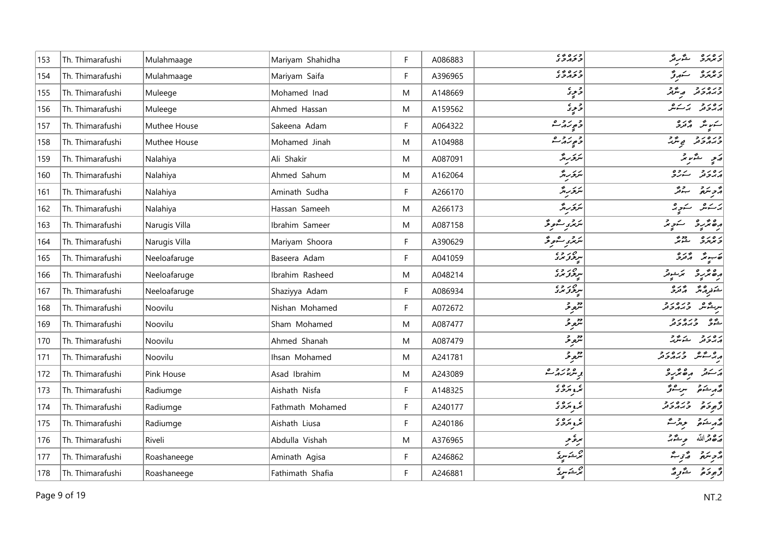| 153 | Th. Thimarafushi | Mulahmaage    | Mariyam Shahidha | $\mathsf F$ | A086883 | و ره و »<br>د <del>و</del> د د د               | ر ه ر ه<br><del>ر</del> بربر د<br>ستەرىتر  |
|-----|------------------|---------------|------------------|-------------|---------|------------------------------------------------|--------------------------------------------|
| 154 | Th. Thimarafushi | Mulahmaage    | Mariyam Saifa    | F           | A396965 | و ره و ،<br><del>ر</del> نو پر تر <sub>ک</sub> | ئەمەر ھ<br>ستهرقر                          |
| 155 | Th. Thimarafushi | Muleege       | Mohamed Inad     | M           | A148669 | د<br>و د پ                                     | ورەرو ھىگى                                 |
| 156 | Th. Thimarafushi | Muleege       | Ahmed Hassan     | M           | A159562 | د<br>ترموز                                     | رەرد پرىش                                  |
| 157 | Th. Thimarafushi | Muthee House  | Sakeena Adam     | F           | A064322 | ج <sub>م</sub> ورَ پر م                        | اسكىيە مىكر ئەردى<br>ئىستار ئىسىرى         |
| 158 | Th. Thimarafushi | Muthee House  | Mohamed Jinah    | M           | A104988 | <sub>ۇ ھوپە ئەرقىسىگە</sub>                    | ورەرو يەش                                  |
| 159 | Th. Thimarafushi | Nalahiya      | Ali Shakir       | M           | A087091 | يئر پخرېر                                      | أەسم ئىقىرىمە                              |
| 160 | Th. Thimarafushi | Nalahiya      | Ahmed Sahum      | M           | A162064 | يئر پخرېد                                      | ره ر و د وه<br>مربرو تر د                  |
| 161 | Th. Thimarafushi | Nalahiya      | Aminath Sudha    | F           | A266170 | يئر پخرېر                                      | ړ په دې کمونکر                             |
| 162 | Th. Thimarafushi | Nalahiya      | Hassan Sameeh    | M           | A266173 | يتزئر بر                                       | يركبش كتوبر                                |
| 163 | Th. Thimarafushi | Narugis Villa | Ibrahim Sameer   | M           | A087158 | ىئەتترىر كىشموقە                               | ەر ھەترىر <i>ۋ</i><br>سەدىر                |
| 164 | Th. Thimarafushi | Narugis Villa | Mariyam Shoora   | F           | A390629 | ىئرىزىر سىفرىتى                                | ر ه ر ه<br><del>و</del> بوبرو<br>ية مجر    |
| 165 | Th. Thimarafushi | Neeloafaruge  | Baseera Adam     | F           | A041059 | سرچونو پر دي<br>سرچونو پري                     | ەسبەتىر<br>پەر ە<br>مەنزۈ                  |
| 166 | Th. Thimarafushi | Neeloafaruge  | Ibrahim Rasheed  | M           | A048214 | سرچونو پر د                                    | ە ھەترىر <sup>ە</sup><br>بمرسفيوتر         |
| 167 | Th. Thimarafushi | Neeloafaruge  | Shaziyya Adam    | F           | A086934 | سرچونو پر د<br>پیرچونو <i>پر</i> ي             | شە <sub>فر</sub> ىرىگر<br>پەر ە<br>مەنزۈ   |
| 168 | Th. Thimarafushi | Noovilu       | Nishan Mohamed   | F           | A072672 | لترهر فحر                                      | و ره ر و<br>تر پر ژ تر<br>سرىشەشر          |
| 169 | Th. Thimarafushi | Noovilu       | Sham Mohamed     | M           | A087477 | يتر <sub>عر</sub> تحر                          | و ره ر و<br><i>و پر</i> و تر<br>ىشۇر       |
| 170 | Th. Thimarafushi | Noovilu       | Ahmed Shanah     | M           | A087479 | يتر <sub>عر</sub> تحر                          | ره رو شکارو و<br>مربر و در شکار            |
| 171 | Th. Thimarafushi | Noovilu       | Ihsan Mohamed    | M           | A241781 | يتروخه                                         | و ره ر د<br>تربر پر تر<br>ەر ئەشر          |
| 172 | Th. Thimarafushi | Pink House    | Asad Ibrahim     | M           | A243089 | ار موجه برج مع                                 | ەھ تررۈ<br>ېر کەچر                         |
| 173 | Th. Thimarafushi | Radiumge      | Aishath Nisfa    | F           | A148325 | ړ ده ده<br>مرغ در                              | ۇرمۇق سرسىۋ                                |
| 174 | Th. Thimarafushi | Radiumge      | Fathmath Mohamed | F           | A240177 | بروه<br>بروتردی                                | و ره ر د<br>تر پر ژمر<br>ء مر د<br>ترجو حو |
| 175 | Th. Thimarafushi | Radiumge      | Aishath Liusa    | F           | A240186 | ړ ده ده<br>مربو د                              | ىرەرىگە<br>و مر شو د<br>م                  |
| 176 | Th. Thimarafushi | Riveli        | Abdulla Vishah   | M           | A376965 | ىردى<br>ئر                                     | ح مشتر تر<br>وكافرالله                     |
| 177 | Th. Thimarafushi | Roashaneege   | Aminath Agisa    | F.          | A246862 | ص پیک میرنگی<br>م                              | أثرجر مترة<br>ە ئىتى بەستىگە               |
| 178 | Th. Thimarafushi | Roashaneege   | Fathimath Shafia | F           | A246881 | ترڪسري                                         | ژودَه څره                                  |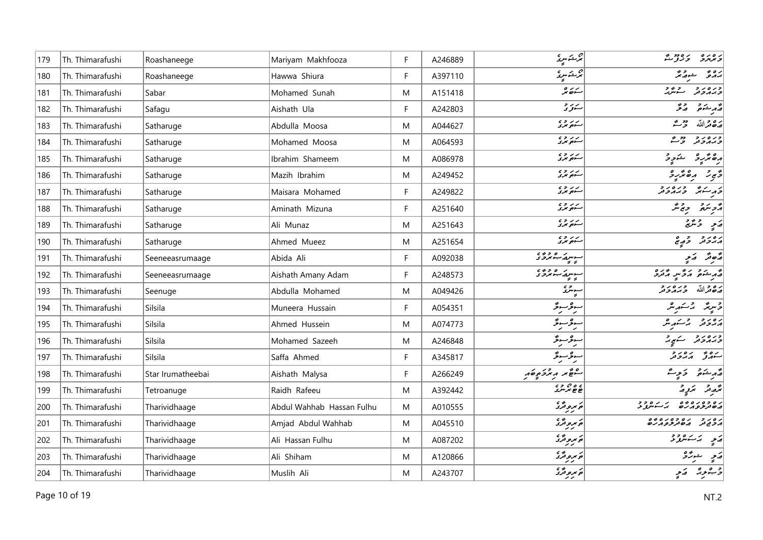| 179 | Th. Thimarafushi | Roashaneege       | Mariyam Makhfooza         | F. | A246889 | ترىشەسرىگە                        | ىرە دىق ئە<br>ر ه بر ه<br><del>د</del> بربرد          |
|-----|------------------|-------------------|---------------------------|----|---------|-----------------------------------|-------------------------------------------------------|
| 180 | Th. Thimarafushi | Roashaneege       | Hawwa Shiura              | F. | A397110 | ر<br>ترڪس <sub>ي</sub> ر          | شەرگە ئىگر<br>برەپچ                                   |
| 181 | Th. Thimarafushi | Sabar             | Mohamed Sunah             | M  | A151418 | سەھ بىر                           | ورەرو ئەر                                             |
| 182 | Th. Thimarafushi | Safagu            | Aishath Ula               | F  | A242803 | سەدى                              | مەرىشى مەق                                            |
| 183 | Th. Thimarafushi | Satharuge         | Abdulla Moosa             | Μ  | A044627 | ر ر و د<br>ستمبر                  | رەپراللە                                              |
| 184 | Th. Thimarafushi | Satharuge         | Mohamed Moosa             | Μ  | A064593 | ر ر و د<br>ستونونو د              | وره دو دور                                            |
| 185 | Th. Thimarafushi | Satharuge         | Ibrahim Shameem           | M  | A086978 | ر د و د<br>ستمبر                  | المشكورة<br>ەر ھەترىر <i>3</i>                        |
| 186 | Th. Thimarafushi | Satharuge         | Mazih Ibrahim             | M  | A249452 | ر ر و د<br>ستورگری                |                                                       |
| 187 | Th. Thimarafushi | Satharuge         | Maisara Mohamed           | F. | A249822 | ے پر و ۽<br>ستمبر <i>پن</i>       | ۇرىسى دىرەرد                                          |
| 188 | Th. Thimarafushi | Satharuge         | Aminath Mizuna            | F. | A251640 | ر ر و د<br>ستونونو د              |                                                       |
| 189 | Th. Thimarafushi | Satharuge         | Ali Munaz                 | M  | A251643 | ر د و د<br>ستمبر                  | أرجع وتثرج                                            |
| 190 | Th. Thimarafushi | Satharuge         | Ahmed Mueez               | M  | A251654 | ر د و د<br>ستمبر                  | - 2707                                                |
| 191 | Th. Thimarafushi | Seeneeasrumaage   | Abida Ali                 | F  | A092038 | سوسره رو و د پر<br>د په پېښو د بر | ړُّ صَدِّ کَمَ دِ                                     |
| 192 | Th. Thimarafushi | Seeneeasrumaage   | Aishath Amany Adam        | F  | A248573 | ۵۶۶۰ کرد و<br>ک کا                | و در در در دره دره<br>مرگزشوهی مرگز بر مرکز           |
| 193 | Th. Thimarafushi | Seenuge           | Abdulla Mohamed           | M  | A049426 | بېرىدى                            | ره دالله وبرورد                                       |
| 194 | Th. Thimarafushi | Silsila           | Muneera Hussain           | F  | A054351 | – د تۇرىدۇ.<br>ب                  | دقسيعٌ برجستهر مثر                                    |
| 195 | Th. Thimarafushi | Silsila           | Ahmed Hussein             | M  | A074773 | – د تۇرىدۇ.<br>ب                  | أرەرو جەسىر ش                                         |
| 196 | Th. Thimarafushi | Silsila           | Mohamed Sazeeh            | M  | A246848 | - د تۇر - د تر<br>س               | ورەرو سەر                                             |
| 197 | Th. Thimarafushi | Silsila           | Saffa Ahmed               | F. | A345817 | - دېر د ټر                        | سەرە بەر دەر د                                        |
| 198 | Th. Thimarafushi | Star Irumatheebai | Aishath Malysa            | F  | A266249 | مشقى مترد وقه                     | و ديده دي په                                          |
| 199 | Th. Thimarafushi | Tetroanuge        | Raidh Rafeeu              | M  | A392442 | ۽ ۾ ۾ ج<br>ج ج مرس                | للمراد المركز وكا                                     |
| 200 | Th. Thimarafushi | Tharividhaage     | Abdul Wahhab Hassan Fulhu | M  | A010555 | ە<br>مۇمومۇرى                     | ره وه ره ده به بر ره و و<br>پره تر تر و بر کر سرتو تر |
| 201 | Th. Thimarafushi | Tharividhaage     | Amjad Abdul Wahhab        | M  | A045510 | ر<br>حوموعودی                     | נסגר גם רסינס בס<br>גרשע גם <i>נתח</i> לים            |
| 202 | Th. Thimarafushi | Tharividhaage     | Ali Hassan Fulhu          | M  | A087202 | ر<br>حومرو ترد                    | ەكىيە ئەسكەنلەر<br>مەسىمە                             |
| 203 | Th. Thimarafushi | Tharividhaage     | Ali Shiham                | M  | A120866 | ر<br>حوموعوتری                    | ړې خورگر                                              |
| 204 | Th. Thimarafushi | Tharividhaage     | Muslih Ali                | M  | A243707 | ئەسرەپەترى<br>مۇسرەپەترى          | وجود می                                               |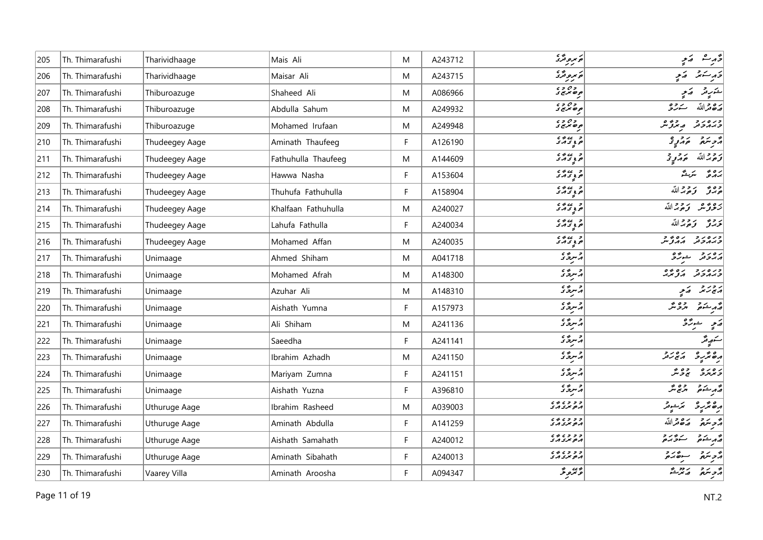| 205 | Th. Thimarafushi | Tharividhaage  | Mais Ali            | M         | A243712 | ر<br>حوموموفری                     | ۇر <sub>م</sub><br>ەكىپىيە                    |
|-----|------------------|----------------|---------------------|-----------|---------|------------------------------------|-----------------------------------------------|
| 206 | Th. Thimarafushi | Tharividhaage  | Maisar Ali          | M         | A243715 | ر<br>ح مرح تر <sub>ک</sub>         | وَرَسِنَدُ الْمَيْرِ                          |
| 207 | Th. Thimarafushi | Thiburoazuge   | Shaheed Ali         | ${\sf M}$ | A086966 | ده ده<br>وه تری                    | شَرَبِرْ - رَمِي                              |
| 208 | Th. Thimarafushi | Thiburoazuge   | Abdulla Sahum       | M         | A249932 | د ۲ د ۲<br>موځ تر بح ک             | برە ترالله<br>سەرە                            |
| 209 | Th. Thimarafushi | Thiburoazuge   | Mohamed Irufaan     | ${\sf M}$ | A249948 | <br>  موھ تریح <sub>ک</sub>        | و ر ه ر د<br><i>و پر</i> پر تر<br>ە بىر ۋىش   |
| 210 | Th. Thimarafushi | Thudeegey Aage | Aminath Thaufeeg    | F         | A126190 | و پره وي<br>مو د د د د             | ג ב יישה ב הרגב                               |
| 211 | Th. Thimarafushi | Thudeegey Aage | Fathuhulla Thaufeeg | M         | A144609 | و پره وي<br>مونځ د پرې             | ترة جرالله تحصر يديح                          |
| 212 | Th. Thimarafushi | Thudeegey Aage | Hawwa Nasha         | F         | A153604 | و پره وه<br>مونځ د مر              | رە ئەسىر<br>بەر ئەسىر                         |
| 213 | Th. Thimarafushi | Thudeegey Aage | Thuhufa Fathuhulla  | F         | A158904 | و پره وي<br>مونځ د پرې             | و ه و<br>موبر تو<br>ترح فرالله                |
| 214 | Th. Thimarafushi | Thudeegey Aage | Khalfaan Fathuhulla | ${\sf M}$ | A240027 |                                    | تروژير وحرته الله                             |
| 215 | Th. Thimarafushi | Thudeegey Aage | Lahufa Fathulla     | F         | A240034 |                                    | ترجوس ترحيحه الله                             |
| 216 | Th. Thimarafushi | Thudeegey Aage | Mohamed Affan       | M         | A240035 | و پره وي<br>مون <sub>ځ</sub> و پرې | כנסנכ נספכ<br>כגתכת ההצית                     |
| 217 | Th. Thimarafushi | Unimaage       | Ahmed Shiham        | M         | A041718 | ا پر پرځ<br>مرگ                    | ره ر د مورد و د                               |
| 218 | Th. Thimarafushi | Unimaage       | Mohamed Afrah       | ${\sf M}$ | A148300 | د سرچ ی<br>د سرچ ی                 | כנסנכ נסשם<br>כמחכת הציגה                     |
| 219 | Th. Thimarafushi | Unimaage       | Azuhar Ali          | ${\sf M}$ | A148310 | د<br>پرسرچر                        | ړی پر په په                                   |
| 220 | Th. Thimarafushi | Unimaage       | Aishath Yumna       | F         | A157973 | و سرچ ي<br>د سرچ ي                 |                                               |
| 221 | Th. Thimarafushi | Unimaage       | Ali Shiham          | ${\sf M}$ | A241136 | د<br>مسرچری                        | $rac{25}{1}$ $rac{1}{2}$ $rac{25}{1}$         |
| 222 | Th. Thimarafushi | Unimaage       | Saeedha             | F         | A241141 | د سرچ ی<br>مرسرچ <sub>ک</sub>      | سەرپەتىر                                      |
| 223 | Th. Thimarafushi | Unimaage       | Ibrahim Azhadh      | M         | A241150 | د سرچ ي<br>م                       | رە ئ <sup>ۆ</sup> رۈ<br>پر 2 پر 3             |
| 224 | Th. Thimarafushi | Unimaage       | Mariyam Zumna       | F         | A241151 | وحسرمج                             | ر ه ر ه<br><del>د</del> بربرگ<br>و ه عر       |
| 225 | Th. Thimarafushi | Unimaage       | Aishath Yuzna       | F         | A396810 | د سرچري<br>مسرچري                  | و ه مر<br>در بې متر<br>و مرکز در<br>مرکز مشوی |
| 226 | Th. Thimarafushi | Uthuruge Aage  | Ibrahim Rasheed     | ${\sf M}$ | A039003 | C C C C C C C<br>N C X X C N       | ە ھەترىرى<br>م<br>ىخرىشە تۈ                   |
| 227 | Th. Thimarafushi | Uthuruge Aage  | Aminath Abdulla     | F         | A141259 |                                    | پ <sup>ر</sup> تر سرچ<br>مَرْهِ قراللّه       |
| 228 | Th. Thimarafushi | Uthuruge Aage  | Aishath Samahath    | F         | A240012 | C G C G G G<br>N G F L G N         | ر بر در د<br>ستونره<br>ر<br>د کرم شوځ         |
| 229 | Th. Thimarafushi | Uthuruge Aage  | Aminath Sibahath    | F         | A240013 |                                    | أرمز يتزه<br>سىۋېرە                           |
| 230 | Th. Thimarafushi | Vaarey Villa   | Aminath Aroosha     | F         | A094347 | و پر<br> عربمرغر                   | أراد المرادر والمريض                          |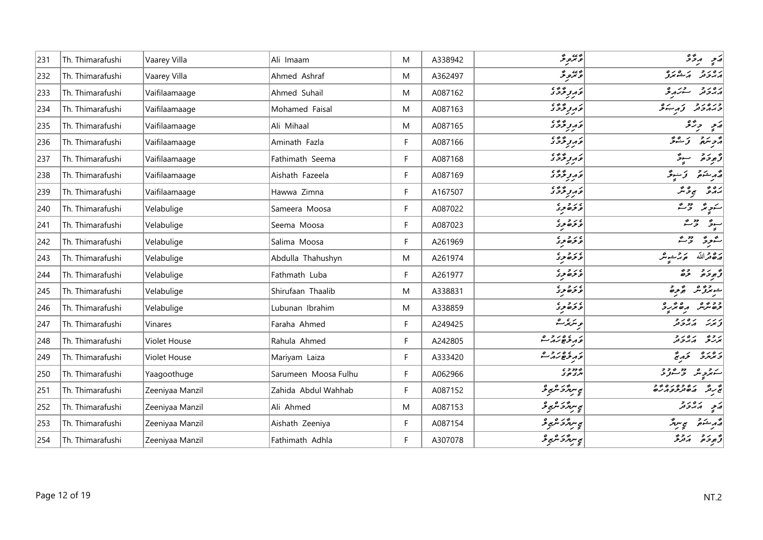| 231 | Th. Thimarafushi | Vaarey Villa        | Ali Imaam            | M | A338942 | ە يە<br>قەنىر بوقر                     | أوسمج ورقرقر                          |
|-----|------------------|---------------------|----------------------|---|---------|----------------------------------------|---------------------------------------|
| 232 | Th. Thimarafushi | Vaarey Villa        | Ahmed Ashraf         | M | A362497 | ۇ يىمبرۇ                               | ره رو بر ۱۵ ره<br>د بروتر بر شوبرتر   |
| 233 | Th. Thimarafushi | Vaifilaamaage       | Ahmed Suhail         | M | A087162 | د مرونو د د                            | أرور وروري                            |
| 234 | Th. Thimarafushi | Vaifilaamaage       | Mohamed Faisal       | M | A087163 | اءَ مروځه ځو                           | ورەرو تەرىپى                          |
| 235 | Th. Thimarafushi | Vaifilaamaage       | Ali Mihaal           | M | A087165 | اءَ مروءَ دُ                           | أريمو ورمحو                           |
| 236 | Th. Thimarafushi | Vaifilaamaage       | Aminath Fazla        | F | A087166 | د مرونونۍ<br> -                        | أثر حبره<br>تۇ شەتۇ                   |
| 237 | Th. Thimarafushi | Vaifilaamaage       | Fathimath Seema      | F | A087168 | ئەمرىر ئۇچ <sup>ى</sup>                | ا تو بر در<br>ا<br>سېۋىتى<br>ئە       |
| 238 | Th. Thimarafushi | Vaifilaamaage       | Aishath Fazeela      | F | A087169 | ر<br>وړ د د د د د                      | ەربەرە كەنبەدى<br>مەربىسى كەنبە       |
| 239 | Th. Thimarafushi | Vaifilaamaage       | Hawwa Zimna          | F | A167507 | ئەرىر ئەتەي                            | برە ئە ئەھە                           |
| 240 | Th. Thimarafushi | Velabulige          | Sameera Moosa        | F | A087022 | ې ئەھەمەي<br>مەمۇھەم                   | وحرثة<br> سەر پۇ                      |
| 241 | Th. Thimarafushi | Velabulige          | Seema Moosa          | F | A087023 | ې پر د دي<br>د تره مړي                 | سوځينځ مخت                            |
| 242 | Th. Thimarafushi | Velabulige          | Salima Moosa         | F | A261969 | ه نړه مر <sup>ه</sup>                  | الشورة المحمد                         |
| 243 | Th. Thimarafushi | Velabulige          | Abdulla Thahushyn    | M | A261974 | ې پر چ <sub>و</sub> ي                  | بروح الله مؤثر شومثر                  |
| 244 | Th. Thimarafushi | Velabulige          | Fathmath Luba        | F | A261977 | ه بر و د ،<br>د تره تر د               | و مرد د<br>افرامو حامد                |
| 245 | Th. Thimarafushi | Velabulige          | Shirufaan Thaalib    | M | A338831 | ې پر د پر<br>د تره نړۍ                 | شونزۇنىڭ قوچى                         |
| 246 | Th. Thimarafushi | Velabulige          | Lubunan Ibrahim      | M | A338859 | ء پر حري<br> حرکت مر <sub>ک</sub>      | و د پر ه<br>مرس<br>ەھەرىرى            |
| 247 | Th. Thimarafushi | Vinares             | Faraha Ahmed         | F | A249425 | ە ئىر ئۈرگە                            | تخ ترتر بر برور و                     |
| 248 | Th. Thimarafushi | <b>Violet House</b> | Rahula Ahmed         | F | A242805 | ۇر ئۇھ ئەرمى                           | پرژنخ   پرژونر                        |
| 249 | Th. Thimarafushi | <b>Violet House</b> | Mariyam Laiza        | F | A333420 | ۇر ئۇغ ئەرمى                           | پر مرد ه<br>ىخەرىتج                   |
| 250 | Th. Thimarafushi | Yaagoothuge         | Sarumeen Moosa Fulhu | F | A062966 | ږ د د د ع<br>پر د ه و ی                | سىرتى ھەم دور                         |
| 251 | Th. Thimarafushi | Zeeniyaa Manzil     | Zahida Abdul Wahhab  | F | A087152 | ى <sub>م</sub> سر <i>ەڭرىمىتى</i> ر قە | 22010201 212                          |
| 252 | Th. Thimarafushi | Zeeniyaa Manzil     | Ali Ahmed            | M | A087153 | پېښونکرېږو                             | أوسم بره رو                           |
| 253 | Th. Thimarafushi | Zeeniyaa Manzil     | Aishath Zeeniya      | F | A087154 | پېښونکرېږو                             | پ <sup>و</sup> مرشومو<br>م<br>سم سرچڙ |
| 254 | Th. Thimarafushi | Zeeniyaa Manzil     | Fathimath Adhla      | F | A307078 | ى <sub>ي</sub> سر <i>مگرى</i> شرىر مى  | و د د دور                             |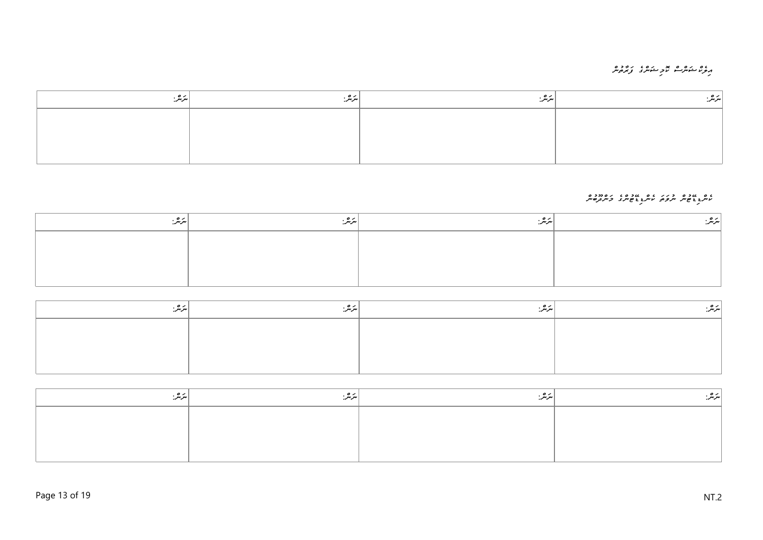## *w7qAn8m? sCw7mRo>u; wEw7mRw;sBo<*

| ' مرمر | 'يئرىثر: |
|--------|----------|
|        |          |
|        |          |
|        |          |

## *w7q9r@w7m> sCw7qHtFoFw7s; mAm=q7 w7qHtFoFw7s;*

| يئرمىش: | $^{\circ}$<br>. سر سر<br>$\cdot$ | $\circ$ $\sim$<br>-- | يئرمثر |
|---------|----------------------------------|----------------------|--------|
|         |                                  |                      |        |
|         |                                  |                      |        |
|         |                                  |                      |        |

| $\frac{\partial}{\partial x}$ | $^{\circ}$ | $\frac{2}{n}$ | $^{\circ}$<br>سرسر. |
|-------------------------------|------------|---------------|---------------------|
|                               |            |               |                     |
|                               |            |               |                     |
|                               |            |               |                     |

| ' ئىرتىر: | سر سر |  |
|-----------|-------|--|
|           |       |  |
|           |       |  |
|           |       |  |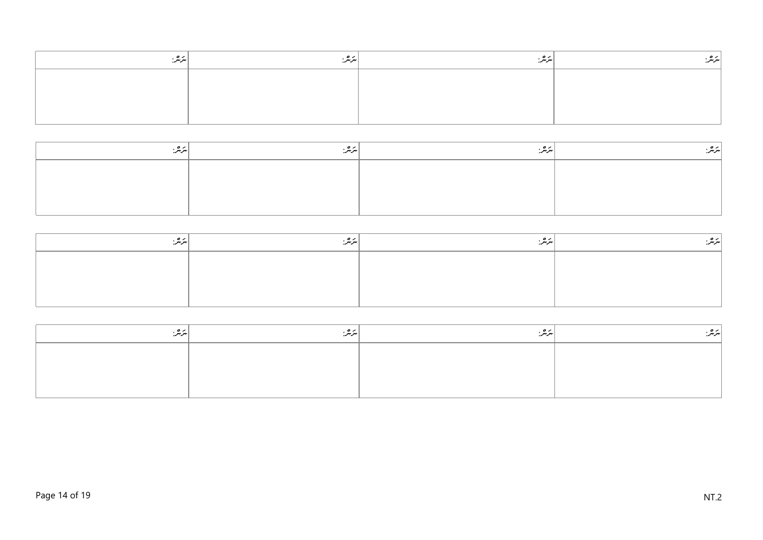| يزهر | $^{\circ}$ | ىئرىتر: |  |
|------|------------|---------|--|
|      |            |         |  |
|      |            |         |  |
|      |            |         |  |

| <sup>.</sup> سرسر. |  |
|--------------------|--|
|                    |  |
|                    |  |
|                    |  |

| ىئرىتر. | $\sim$ | ا بر هه. | لىرىش |
|---------|--------|----------|-------|
|         |        |          |       |
|         |        |          |       |
|         |        |          |       |

| 。<br>مرس. | $\overline{\phantom{a}}$<br>مر مىر | يتريثر |
|-----------|------------------------------------|--------|
|           |                                    |        |
|           |                                    |        |
|           |                                    |        |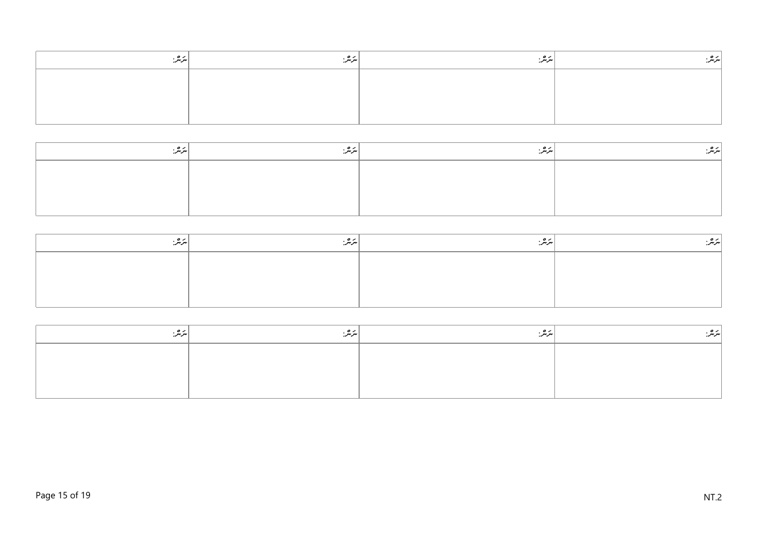| ير هو . | $\overline{\phantom{a}}$ | يرمر | اير هنه. |
|---------|--------------------------|------|----------|
|         |                          |      |          |
|         |                          |      |          |
|         |                          |      |          |

| ئىرتىر: | $\sim$<br>ا سرسر . | يئرمثر | o . |
|---------|--------------------|--------|-----|
|         |                    |        |     |
|         |                    |        |     |
|         |                    |        |     |

| انترنثر: | ر ه |  |
|----------|-----|--|
|          |     |  |
|          |     |  |
|          |     |  |

|  | . ه |
|--|-----|
|  |     |
|  |     |
|  |     |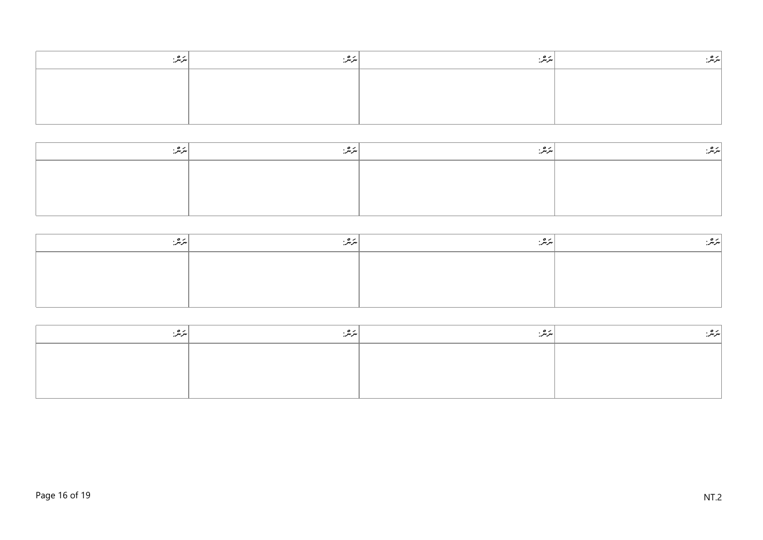| ير هو . | $\overline{\phantom{a}}$ | يرمر | اير هنه. |
|---------|--------------------------|------|----------|
|         |                          |      |          |
|         |                          |      |          |
|         |                          |      |          |

| ىر تىر: | $\circ$ $\sim$<br>" سرسر . | يترمير | o . |
|---------|----------------------------|--------|-----|
|         |                            |        |     |
|         |                            |        |     |
|         |                            |        |     |

| 'تترنثر: | . .<br>يسمونس. |  |
|----------|----------------|--|
|          |                |  |
|          |                |  |
|          |                |  |

|  | . ه |
|--|-----|
|  |     |
|  |     |
|  |     |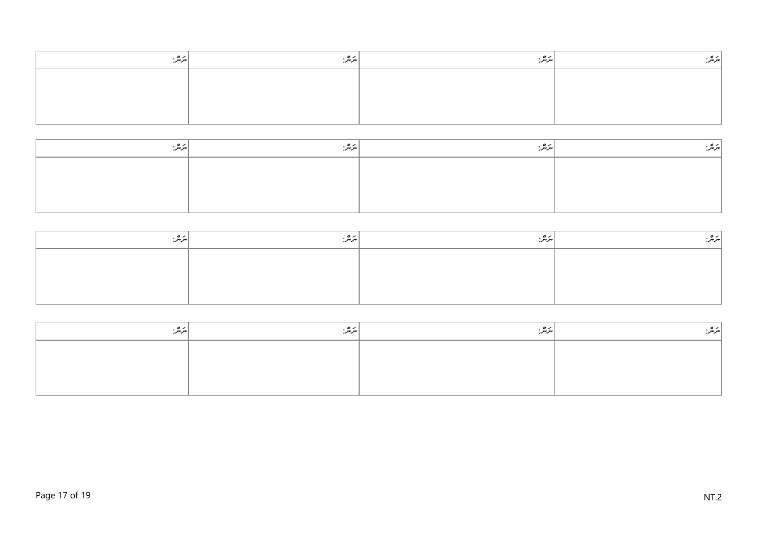| $\cdot$ | 。 | $\frac{\circ}{\cdot}$ | $\sim$<br>سرسر |
|---------|---|-----------------------|----------------|
|         |   |                       |                |
|         |   |                       |                |
|         |   |                       |                |

| يريثن | ' سرسر . |  |
|-------|----------|--|
|       |          |  |
|       |          |  |
|       |          |  |

| بر ه | . ه | $\overline{\phantom{0}}$<br>سرسر |  |
|------|-----|----------------------------------|--|
|      |     |                                  |  |
|      |     |                                  |  |
|      |     |                                  |  |

| 。<br>. س | ىرىىر |  |
|----------|-------|--|
|          |       |  |
|          |       |  |
|          |       |  |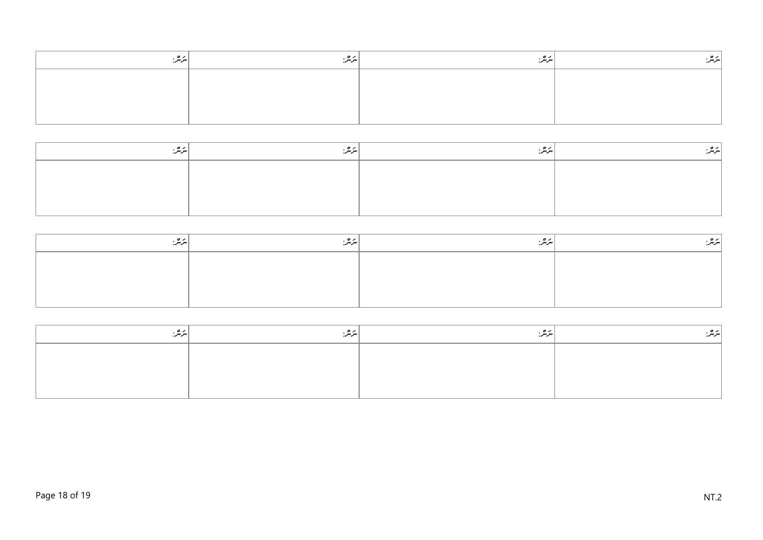| ير هو . | $\overline{\phantom{a}}$ | يرمر | اير هنه. |
|---------|--------------------------|------|----------|
|         |                          |      |          |
|         |                          |      |          |
|         |                          |      |          |

| ىر تىر: | $\circ$ $\sim$<br>" سرسر . | يترمير | o . |
|---------|----------------------------|--------|-----|
|         |                            |        |     |
|         |                            |        |     |
|         |                            |        |     |

| انترنثر: | ر ه |  |
|----------|-----|--|
|          |     |  |
|          |     |  |
|          |     |  |

|  | . ه |
|--|-----|
|  |     |
|  |     |
|  |     |